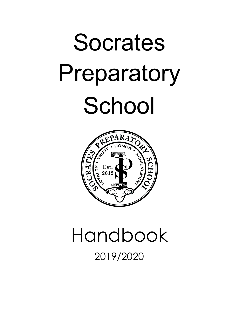# Socrates Preparatory School



## Handbook 2019/2020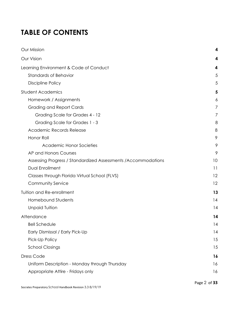## **TABLE OF CONTENTS**

| Our Mission                                                    | 4  |
|----------------------------------------------------------------|----|
| Our Vision                                                     | 4  |
| Learning Environment & Code of Conduct                         | 4  |
| <b>Standards of Behavior</b>                                   | 5  |
| <b>Discipline Policy</b>                                       | 5  |
| <b>Student Academics</b>                                       | 5  |
| Homework / Assignments                                         | 6  |
| <b>Grading and Report Cards</b>                                | 7  |
| Grading Scale for Grades 4 - 12                                | 7  |
| Grading Scale for Grades 1 - 3                                 | 8  |
| <b>Academic Records Release</b>                                | 8  |
| Honor Roll                                                     | 9  |
| <b>Academic Honor Societies</b>                                | 9  |
| AP and Honors Courses                                          | 9  |
| Assessing Progress / Standardized Assessments / Accommodations | 10 |
| <b>Dual Enrollment</b>                                         | 11 |
| Classes through Florida Virtual School (FLVS)                  | 12 |
| Community Service                                              | 12 |
| Tuition and Re-enrollment                                      | 13 |
| Homebound Students                                             | 14 |
| <b>Unpaid Tuition</b>                                          | 14 |
| Attendance                                                     | 14 |
| <b>Bell Schedule</b>                                           | 4  |
| Early Dismissal / Early Pick-Up                                | 14 |
| Pick-Up Policy                                                 | 15 |
| <b>School Closings</b>                                         | 15 |
| Dress Code                                                     | 16 |
| Uniform Description - Monday through Thursday                  | 16 |
| Appropriate Attire - Fridays only                              | 16 |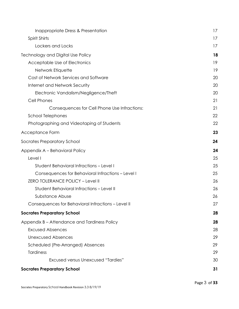| Inappropriate Dress & Presentation                 | 17 |
|----------------------------------------------------|----|
| Spirit Shirts                                      | 17 |
| Lockers and Locks                                  | 17 |
| Technology and Digital Use Policy                  | 18 |
| Acceptable Use of Electronics                      | 19 |
| Network Etiquette                                  | 19 |
| Cost of Network Services and Software              | 20 |
| Internet and Network Security                      | 20 |
| Electronic Vandalism/Negligence/Theft              | 20 |
| Cell Phones                                        | 21 |
| Consequences for Cell Phone Use Infractions:       | 21 |
| <b>School Telephones</b>                           | 22 |
| Photographing and Videotaping of Students          | 22 |
| Acceptance Form                                    | 23 |
| Socrates Preparatory School                        | 24 |
| Appendix A - Behavioral Policy                     | 24 |
| Level I                                            | 25 |
| <b>Student Behavioral Infractions - Level I</b>    | 25 |
| Consequences for Behavioral Infractions - Level I  | 25 |
| ZERO TOLERANCE POLICY - Level II                   | 26 |
| Student Behavioral Infractions - Level II          | 26 |
| Substance Abuse                                    | 26 |
| Consequences for Behavioral Infractions - Level II | 27 |
| <b>Socrates Preparatory School</b>                 | 28 |
| Appendix B - Attendance and Tardiness Policy       | 28 |
| <b>Excused Absences</b>                            | 28 |
| <b>Unexcused Absences</b>                          | 29 |
| Scheduled (Pre-Arranged) Absences                  | 29 |
| <b>Tardiness</b>                                   | 29 |
| <b>Excused versus Unexcused "Tardies"</b>          | 30 |
| <b>Socrates Preparatory School</b>                 | 31 |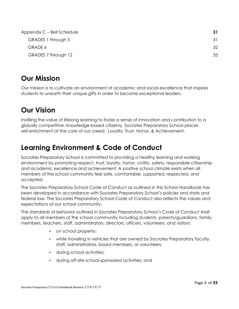| Appendix C – Bell Schedule | 31 |
|----------------------------|----|
| GRADES 1 through 5         | 31 |
| GRADE 6                    | 32 |
| GRADES 7 through 12        | 33 |

## <span id="page-3-0"></span>**Our Mission**

Our mission is to cultivate an environment of academic and social excellence that inspires students to unearth their unique gifts in order to become exceptional leaders.

## <span id="page-3-1"></span>**Our Vision**

Instilling the value of lifelong learning to foster a sense of innovation and contribution to a globally competitive, knowledge-based citizenry, Socrates Preparatory School places self-enrichment at the core of our creed: Loyalty, Trust, Honor, & Achievement.

## <span id="page-3-2"></span>**Learning Environment & Code of Conduct**

Socrates Preparatory School is committed to providing a healthy learning and working environment by promoting respect, trust, loyalty, honor, civility, safety, responsible citizenship and academic excellence and achievement. A positive school climate exists when all members of the school community feel safe, comfortable, supported, respected, and accepted.

The Socrates Preparatory School Code of Conduct as outlined in this School Handbook has been developed in accordance with Socrates Preparatory School's policies and state and federal law. The Socrates Preparatory School Code of Conduct also reflects the values and expectations of our school community.

The standards of behavior outlined in Socrates Preparatory School's Code of Conduct shall apply to all members of the school community including students, parents/guardians, family members, teachers, staff, administrators, directors, officers, volunteers, and visitors:

- on school property;
- while traveling in vehicles that are owned by Socrates Preparatory faculty, staff, administrators, board members, or volunteers;
- during school activities;
- during off-site school-sponsored activities; and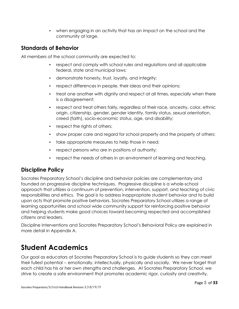▪ when engaging in an activity that has an impact on the school and the community at large.

## <span id="page-4-0"></span>**Standards of Behavior**

All members of the school community are expected to:

- respect and comply with school rules and regulations and all applicable federal, state and municipal laws;
- demonstrate honesty, trust, loyalty, and integrity;
- respect differences in people, their ideas and their opinions;
- treat one another with dignity and respect at all times, especially when there is a disagreement;
- respect and treat others fairly, regardless of their race, ancestry, color, ethnic origin, citizenship, gender, gender identity, family status, sexual orientation, creed (faith), socio-economic status, age, and disability;
- **•** respect the rights of others;
- show proper care and regard for school property and the property of others;
- take appropriate measures to help those in need;
- respect persons who are in positions of authority;
- respect the needs of others in an environment of learning and teaching.

## <span id="page-4-1"></span>**Discipline Policy**

Socrates Preparatory School's discipline and behavior policies are complementary and founded on progressive discipline techniques. Progressive discipline is a whole-school approach that utilizes a continuum of prevention, intervention, support, and teaching of civic responsibilities and ethics. The goal is to address inappropriate student behavior and to build upon acts that promote positive behaviors. Socrates Preparatory School utilizes a range of learning opportunities and school wide community support for reinforcing positive behavior and helping students make good choices toward becoming respected and accomplished citizens and leaders.

Discipline Interventions and Socrates Preparatory School's Behavioral Policy are explained in more detail in Appendix A.

## <span id="page-4-2"></span>**Student Academics**

Our goal as educators at Socrates Preparatory School is to guide students so they can meet their fullest potential -- emotionally, intellectually, physically and socially. We never forget that each child has his or her own strengths and challenges. At Socrates Preparatory School, we strive to create a safe environment that promotes academic rigor, curiosity and creativity,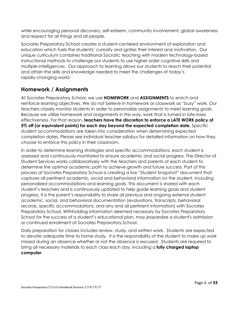while encouraging personal discovery, self-esteem, community involvement, global awareness and respect for all things and all people.

Socrates Preparatory School creates a student-centered environment of exploration and education which fuels the students' curiosity and ignites their interest and motivation. Our unique curriculum combines traditional Socratic teaching with modern technology-based instructional methods to challenge our students to use higher order cognitive skills and multiple-intelligences. Our approach to learning allows our students to reach their potential and attain the skills and knowledge needed to meet the challenges of today's rapidly-changing world.

## <span id="page-5-0"></span>**Homework / Assignments**

At Socrates Preparatory School, we use **HOMEWORK** and **ASSIGNMENTS** to enrich and reinforce learning objectives. We do not believe in homework or classwork as "busy" work. Our teachers closely monitor students in order to personalize assignments to meet learning goals. Because we utilize homework and assignments in this way, work that is turned in late loses effectiveness. For that reason, **teachers have the discretion to enforce a LATE WORK policy of 5% off (or equivalent points) for each day beyond the expected completion date.** Specific student accommodations are taken into consideration when determining expected completion dates. Please see individual teacher syllabus for detailed information on how they choose to enforce this policy in their classroom.

In order to determine learning strategies and specific accommodations, each student is assessed and continuously monitored to ensure academic and social progress. The Director of Student Services works collaboratively with the teachers and parents of each student to determine the optimal academic path to achieve growth and future success. Part of this process at Socrates Preparatory School is creating a live "Student Snapshot" document that captures all pertinent academic, social and behavioral information on the student, including personalized accommodations and learning goals. This document is shared with each student's teachers and is continuously updated to help guide learning goals and student progress. It is the parent's responsibility to share all previous and ongoing external student academic, social, and behavioral documentation (evaluations, transcripts, behavioral records, specific accommodations, and any and all pertinent information) with Socrates Preparatory School. Withholding information deemed necessary by Socrates Preparatory School for the success of a student's educational plan, may jeopardize a student's admission or continued enrollment at Socrates Preparatory School.

Daily preparation for classes includes review, study, and written work. Students are expected to devote adequate time to home study. It is the responsibility of the student to make up work missed during an absence whether or not the absence is excused. Students are required to bring all necessary materials to each class each day, including a **fully charged laptop computer**.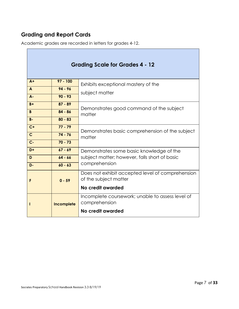## <span id="page-6-0"></span>**Grading and Report Cards**

Academic grades are recorded in letters for grades 4-12.

<span id="page-6-1"></span>

| <b>Grading Scale for Grades 4 - 12</b> |                                                                   |                                                                           |
|----------------------------------------|-------------------------------------------------------------------|---------------------------------------------------------------------------|
| $A+$                                   | $97 - 100$                                                        | Exhibits exceptional mastery of the                                       |
| $\mathbf{A}$                           | $94 - 96$                                                         | subject matter                                                            |
| $A -$                                  | $90 - 93$                                                         |                                                                           |
| $B +$                                  | $87 - 89$                                                         | Demonstrates good command of the subject<br>matter                        |
| B                                      | $84 - 86$                                                         |                                                                           |
| $B -$                                  | $80 - 83$                                                         |                                                                           |
| $C+$                                   | $77 - 79$                                                         | Demonstrates basic comprehension of the subject<br>matter                 |
| $\mathsf{C}$                           | $74 - 76$                                                         |                                                                           |
| $C -$                                  | $70 - 73$                                                         |                                                                           |
| $D+$                                   | $67 - 69$                                                         | Demonstrates some basic knowledge of the                                  |
| D                                      | $64 - 66$                                                         | subject matter; however, falls short of basic                             |
| D-                                     | $60 - 63$                                                         | comprehension                                                             |
| F                                      | $0 - 59$                                                          | Does not exhibit accepted level of comprehension<br>of the subject matter |
|                                        |                                                                   | No credit awarded                                                         |
| Incomplete                             | Incomplete coursework; unable to assess level of<br>comprehension |                                                                           |
|                                        |                                                                   | No credit awarded                                                         |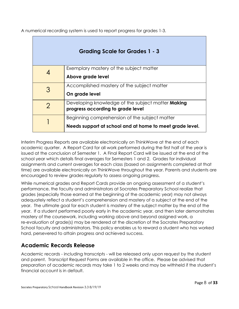A numerical recording system is used to report progress for grades 1-3.

<span id="page-7-0"></span>

| Grading Scale for Grades 1 - 3 |                                                          |  |
|--------------------------------|----------------------------------------------------------|--|
|                                | Exemplary mastery of the subject matter                  |  |
|                                | Above grade level                                        |  |
| 3                              | Accomplished mastery of the subject matter               |  |
|                                | On grade level                                           |  |
| 2                              | Developing knowledge of the subject matter <b>Making</b> |  |
|                                | progress according to grade level                        |  |
|                                | Beginning comprehension of the subject matter            |  |
|                                | Needs support at school and at home to meet grade level. |  |

Interim Progress Reports are available electronically on ThinkWave at the end of each academic quarter. A Report Card for all work performed during the first half of the year is issued at the conclusion of Semester 1. A Final Report Card will be issued at the end of the school year which details final averages for Semesters 1 and 2. Grades for individual assignments and current averages for each class (based on assignments completed at that time) are available electronically on ThinkWave throughout the year. Parents and students are encouraged to review grades regularly to assess ongoing progress.

While numerical grades and Report Cards provide an ongoing assessment of a student's performance, the faculty and administrators at Socrates Preparatory School realize that grades (especially those earned at the beginning of the academic year) may not always adequately reflect a student's comprehension and mastery of a subject at the end of the year. The ultimate goal for each student is mastery of the subject matter by the end of the year. If a student performed poorly early in the academic year, and then later demonstrates mastery of the coursework, including working above and beyond assigned work, a re-evaluation of grade(s) may be rendered at the discretion of the Socrates Preparatory School faculty and administrators. This policy enables us to reward a student who has worked hard, persevered to attain progress and achieved success.

## <span id="page-7-1"></span>**Academic Records Release**

Academic records - including transcripts - will be released only upon request by the student and parent. Transcript Request Forms are available in the office. Please be advised that preparation of academic records may take 1 to 2 weeks and may be withheld if the student's financial account is in default.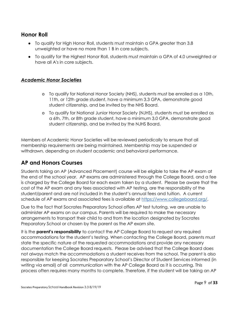## <span id="page-8-0"></span>**Honor Roll**

- To qualify for High Honor Roll, students must maintain a GPA greater than 3.8 unweighted or have no more than 1 B in core subjects.
- To qualify for the Highest Honor Roll, students must maintain a GPA of 4.0 unweighted or have all A's in core subjects.

#### <span id="page-8-1"></span>*Academic Honor Societies*

- o To qualify for National Honor Society (NHS), students must be enrolled as a 10th, 11th, or 12th grade student, have a minimum 3.3 GPA, demonstrate good student citizenship, and be invited by the NHS Board.
- o To qualify for National Junior Honor Society (NJHS), students must be enrolled as a 6th, 7th, or 8th grade student, have a minimum 3.0 GPA, demonstrate good student citizenship, and be invited by the NJHS Board.

Members of Academic Honor Societies will be reviewed periodically to ensure that all membership requirements are being maintained. Membership may be suspended or withdrawn, depending on student academic and behavioral performance.

## <span id="page-8-2"></span>**AP and Honors Courses**

Students taking an AP (Advanced Placement) course will be eligible to take the AP exam at the end of the school year. AP exams are administered through the College Board, and a fee is charged by the College Board for each exam taken by a student. Please be aware that the cost of the AP exam and any fees associated with AP testing, are the responsibility of the student/parent and are not included in the student's annual fees and tuition. A current schedule of AP exams and associated fees is available at [https://www.collegeboard.org/.](https://www.collegeboard.org/)

Due to the fact that Socrates Preparatory School offers AP test tutoring, we are unable to administer AP exams on our campus. Parents will be required to make the necessary arrangements to transport their child to and from the location designated by Socrates Preparatory School or chosen by the parent as the AP exam site.

It is the **parent's responsibility** to contact the AP College Board to request any required accommodations for the student's testing. When contacting the College Board, parents must state the specific nature of the requested accommodations and provide any necessary documentation the College Board requests. Please be advised that the College Board does not always match the accommodations a student receives from the school. The parent is also responsible for keeping Socrates Preparatory School's Director of Student Services informed (in writing via email) of all communication with the AP College Board as it is occurring. This process often requires many months to complete. Therefore, if the student will be taking an AP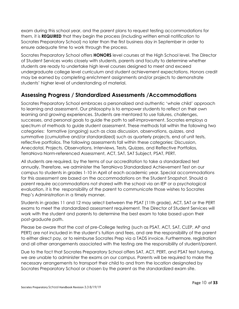exam during this school year, and the parent plans to request testing accommodations for them, it is **REQUIRED** that they begin the process (including written email notification to Socrates Preparatory School) no later than the first business day in September in order to ensure adequate time to work through the process.

Socrates Preparatory School offers **HONORS** level courses at the High School level. The Director of Student Services works closely with students, parents and faculty to determine whether students are ready to undertake high level courses designed to meet and exceed undergraduate college level curriculum and student achievement expectations. Honors credit may be earned by completing enrichment assignments and/or projects to demonstrate students' higher level of understanding of material.

## <span id="page-9-0"></span>**Assessing Progress / Standardized Assessments /Accommodations**

Socrates Preparatory School embraces a personalized and authentic 'whole child' approach to learning and assessment. Our philosophy is to empower students to reflect on their own learning and growing experiences. Students are mentored to use failures, challenges, successes, and personal goals to guide the path to self-improvement. Socrates employs a spectrum of methods to guide student assessment. These methods fall within the following two categories: formative (ongoing) such as class discussion, observations, quizzes, and summative (cumulative and/or standardized) such as quarterly projects, end of unit tests, reflective portfolios. The following assessments fall within these categories: Discussion, Anecdotal, Projects, Observations, Interviews, Tests, Quizzes, and Reflective Portfolios, TerraNova Norm-referenced Assessment, ACT, SAT, SAT Subject, PSAT, PERT.

All students are required, by the terms of our accreditation to take a standardized test annually. Therefore, we administer the TerraNova Standardized Achievement Test on our campus to students in grades 1-10 in April of each academic year. Special accommodations for this assessment are based on the accommodations on the Student Snapshot. Should a parent require accommodations not shared with the school via an IEP or a psychological evaluation, it is the responsibility of the parent to communicate those wishes to Socrates Prep's Administration in a timely manner.

Students in grades 11 and 12 may select between the PSAT (11th grade), ACT, SAT or the PERT exams to meet the standardized assessment requirement. The Director of Student Services will work with the student and parents to determine the best exam to take based upon their post-graduate path.

Please be aware that the cost of pre-College testing (such as PSAT, ACT, SAT, CLEP, AP and PERT) are not included in the student's tuition and fees, and are the responsibility of the parent to either direct pay, or to reimburse Socrates Prep via a TADS invoice. Furthermore, registration and all other arrangements associated with the testing are the responsibility of student/parent.

Due to the fact that Socrates Preparatory School offers SAT, ACT, PERT, and PSAT test tutoring, we are unable to administer the exams on our campus. Parents will be required to make the necessary arrangements to transport their child to and from the location designated by Socrates Preparatory School or chosen by the parent as the standardized exam site.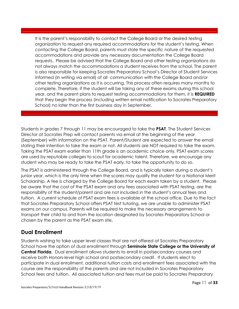It is the parent's responsibility to contact the College Board or the desired testing organization to request any required accommodations for the student's testing. When contacting the College Board, parents must state the specific nature of the requested accommodations and provide any necessary documentation the College Board requests. Please be advised that the College Board and other testing organizations do not always match the accommodations a student receives from the school. The parent is also responsible for keeping Socrates Preparatory School's Director of Student Services informed (in writing via email) of all communication with the College Board and/or other testing organizations as it is occurring. This process often requires many months to complete. Therefore, if the student will be taking any of these exams during this school year, and the parent plans to request testing accommodations for them, it is **REQUIRED** that they begin the process (including written email notification to Socrates Preparatory School) no later than the first business day in September.

Students in grades 7 through 11 may be encouraged to take the **PSAT**. The Student Services Director at Socrates Prep will contact parents via email at the beginning of the year (September) with information on the PSAT. Parent/Student are expected to answer the email stating their intention to take the exam or not. All students are NOT required to take the exam. Taking the PSAT exam earlier than 11th grade is an academic choice only. PSAT exam scores are used by reputable colleges to scout for academic talent. Therefore, we encourage any student who may be ready to take the PSAT early, to take the opportunity to do so.

The PSAT is administered through the College Board, and is typically taken during a student's junior year, which is the only time when the scores may qualify the student for a National Merit Scholarship. A fee is charged by the College Board for each exam taken by a student. Please be aware that the cost of the PSAT exam and any fees associated with PSAT testing, are the responsibility of the student/parent and are not included in the student's annual fees and tuition. A current schedule of PSAT exam fees is available at the school office. Due to the fact that Socrates Preparatory School offers PSAT test tutoring, we are unable to administer PSAT exams on our campus. Parents will be required to make the necessary arrangements to transport their child to and from the location designated by Socrates Preparatory School or chosen by the parent as the PSAT exam site.

## <span id="page-10-0"></span>**Dual Enrollment**

Students wishing to take upper level classes that are not offered at Socrates Preparatory School have the option of dual enrollment through **Seminole State College or the University of Central Florida**. Dual enrollment allows students to enroll in postsecondary courses and receive both Honors-level high school and postsecondary credit. If students elect to participate in dual enrollment, additional tuition costs and enrollment fees associated with the course are the responsibility of the parents and are not included in Socrates Preparatory School fees and tuition. All associated tuition and fees must be paid to Socrates Preparatory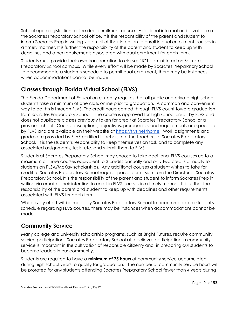School upon registration for the dual enrollment course. Additional information is available at the Socrates Preparatory School office. It is the responsibility of the parent and student to inform Socrates Prep in writing via email of their intention to enroll in dual enrollment courses in a timely manner. It is further the responsibility of the parent and student to keep up with deadlines and other requirements associated with dual enrollment for each term.

Students must provide their own transportation to classes NOT administered on Socrates Preparatory School campus. While every effort will be made by Socrates Preparatory School to accommodate a student's schedule to permit dual enrollment, there may be instances when accommodations cannot be made.

## <span id="page-11-0"></span>**Classes through Florida Virtual School (FLVS)**

The Florida Department of Education currently requires that all public and private high school students take a minimum of one class online prior to graduation. A common and convenient way to do this is through FLVS. The credit hours earned through FLVS count toward graduation from Socrates Preparatory School if the course is approved for high school credit by FLVS and does not duplicate classes previously taken for credit at Socrates Preparatory School or a previous school. Course descriptions, objectives, prerequisites and requirements are specified by FLVS and are available on their website at [https://flvs.net/home.](https://flvs.net/home) Work assignments and grades are provided by FLVS certified teachers, not the teachers at Socrates Preparatory School. It is the student's responsibility to keep themselves on task and to complete any associated assignments, tests, etc. and submit them to FLVS.

Students at Socrates Preparatory School may choose to take additional FLVS courses up to a maximum of three courses equivalent to 3 credits annually and only two credits annually for students on PLSA/McKay scholarships. Any additional courses a student wishes to take for credit at Socrates Preparatory School require special permission from the Director of Socrates Preparatory School. It is the responsibility of the parent and student to inform Socrates Prep in writing via email of their intention to enroll in FLVS courses in a timely manner. It is further the responsibility of the parent and student to keep up with deadlines and other requirements associated with FLVS for each term.

While every effort will be made by Socrates Preparatory School to accommodate a student's schedule regarding FLVS courses, there may be instances when accommodations cannot be made.

## <span id="page-11-1"></span>**Community Service**

Many college and university scholarship programs, such as Bright Futures, require community service participation. Socrates Preparatory School also believes participation in community service is important in the cultivation of responsible citizenry and in preparing our students to become leaders in our community.

Students are required to have a **minimum of 75 hours** of community service accumulated during high school years to qualify for graduation. The number of community service hours will be prorated for any students attending Socrates Preparatory School fewer than 4 years during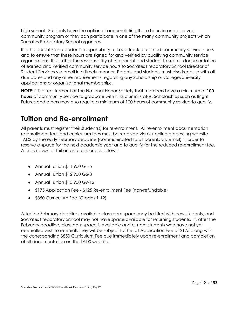high school. Students have the option of accumulating these hours in an approved community program or they can participate in one of the many community projects which Socrates Preparatory School organizes.

It is the parent's and student's responsibility to keep track of earned community service hours and to ensure that these hours are signed for and verified by qualifying community service organizations. It is further the responsibility of the parent and student to submit documentation of earned and verified community service hours to Socrates Preparatory School Director of Student Services via email in a timely manner. Parents and students must also keep up with all due dates and any other requirements regarding any Scholarship or College/University applications or organizational memberships.

**NOTE**: It is a requirement of The National Honor Society that members have a minimum of **100 hours** of community service to graduate with NHS alumni status. Scholarships such as Bright Futures and others may also require a minimum of 100 hours of community service to qualify.

## <span id="page-12-0"></span>**Tuition and Re-enrollment**

All parents must register their student(s) for re-enrollment. All re-enrollment documentation, re-enrollment fees and curriculum fees must be received via our online processing website TADS by the early February deadline (communicated to all parents via email) in order to reserve a space for the next academic year and to qualify for the reduced re-enrollment fee. A breakdown of tuition and fees are as follows:

- Annual Tuition \$11,950 G1-5
- Annual Tuition \$12,950 G6-8
- Annual Tuition \$13,950 G9-12
- \$175 Application Fee \$125 Re-enrollment Fee (non-refundable)
- \$850 Curriculum Fee (Grades 1-12)

After the February deadline, available classroom space may be filled with new students, and Socrates Preparatory School may not have space available for returning students. If, after the February deadline, classroom space is available and current students who have not yet re-enrolled wish to re-enroll, they will be subject to the full Application Fee of \$175 along with the corresponding \$850 Curriculum Fee due immediately upon re-enrollment and completion of all documentation on the TADS website.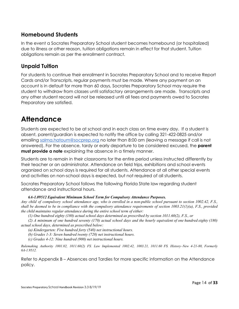## <span id="page-13-0"></span>**Homebound Students**

In the event a Socrates Preparatory School student becomes homebound (or hospitalized) due to illness or other reason, tuition obligations remain in effect for that student. Tuition obligations remain as per the enrollment contract.

## <span id="page-13-1"></span>**Unpaid Tuition**

For students to continue their enrollment in Socrates Preparatory School and to receive Report Cards and/or Transcripts, regular payments must be made. Where any payment on an account is in default for more than 60 days, Socrates Preparatory School may require the student to withdraw from classes until satisfactory arrangements are made. Transcripts and any other student record will not be released until all fees and payments owed to Socrates Preparatory are satisfied.

## <span id="page-13-2"></span>**Attendance**

Students are expected to be at school and in each class on time every day. If a student is absent, parent/guardian is expected to notify the office by calling 321-422-0825 and/or emailing [salma.hatoum@socprep.org](mailto:salma.hatoum@socprep.org) no later than 8:00 am (leaving a message if call is not answered). For the absence, tardy or early departure to be considered excused, the **parent must provide a note** explaining the absence in a timely manner.

Students are to remain in their classrooms for the entire period unless instructed differently by their teacher or an administrator. Attendance on field trips, exhibitions and school events organized on school days is required for all students. Attendance at all other special events and activities on non-school days is expected, but not required of all students.

Socrates Preparatory School follows the following Florida State law regarding student attendance and instructional hours.

#### *6A-1.09512 Equivalent Minimum School Term for Compulsory Attendance Purposes.*

Any child of compulsory school attendance age, who is enrolled in a non-public school pursuant to section 1002.42, F.S., shall be deemed to be in compliance with the compulsory attendance requirements of section  $1003.21(1)(a)$ , F.S., provided *the child maintains regular attendance during the entire school term of either:*

*(1) One hundred eighty (180) actual school days determined as prescribed by section 1011.60(2), F.S., or*

(2) A minimum of one hundred seventy (170) actual school days and the hourly equivalent of one hundred eighty (180) *actual school days, determined as prescribed below:*

*(a) Kindergarten: Five hundred forty (540) net instructional hours.*

*(b) Grades 1-3: Seven hundred twenty (720) net instructional hours.*

*(c) Grades 4-12: Nine hundred (900) net instructional hours.*

*Rulemaking Authority 1001.02, 1011.60(2) FS. Law Implemented 1002.42, 1003.21, 1011.60 FS. History–New 4-21-80, Formerly 6A-1.9512.*

Refer to Appendix B – Absences and Tardies for more specific information on the Attendance policy.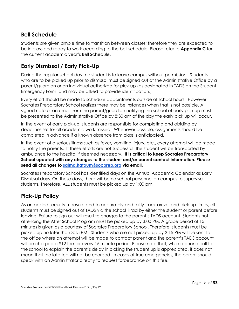## <span id="page-14-0"></span>**Bell Schedule**

Students are given ample time to transition between classes; therefore they are expected to be in class and ready to work according to the bell schedule. Please refer to **Appendix C** for the current academic year's Bell Schedule.

## <span id="page-14-1"></span>**Early Dismissal / Early Pick-Up**

During the regular school day, no student is to leave campus without permission. Students who are to be picked up prior to dismissal must be signed out at the Administrative Office by a parent/guardian or an individual authorized for pick-up (as designated in TADS on the Student Emergency Form, and may be asked to provide identification.)

Every effort should be made to schedule appointments outside of school hours. However, Socrates Preparatory School realizes there may be instances when that is not possible. A signed note or an email from the parent/guardian notifying the school of early pick up must be presented to the Administrative Office by 8:30 am of the day the early pick up will occur.

In the event of early pick-up, students are responsible for completing and abiding by deadlines set for all academic work missed. Whenever possible, assignments should be completed in advance if a known absence from class is anticipated.

In the event of a serious illness such as fever, vomiting, injury, etc., every attempt will be made to notify the parents. If these efforts are not successful, the student will be transported by ambulance to the hospital if deemed necessary. **It is critical to keep Socrates Preparatory School updated with any changes to the student and/or parent contact information. Please send all changes to [salma.hatoum@socprep.org](mailto:salma.hatoum@socprep.org) via email.**

Socrates Preparatory School has identified days on the Annual Academic Calendar as Early Dismissal days. On these days, there will be no school personnel on campus to supervise students. Therefore, ALL students must be picked up by 1:00 pm.

## <span id="page-14-2"></span>**Pick-Up Policy**

As an added security measure and to accurately and fairly track arrival and pick-up times, all students must be signed out of TADS via the school iPad by either the student or parent before leaving. Failure to sign out will result to charges to the parent's TADS account. Students not attending the After School Program must be picked up by 3:00 PM. A grace period of 15 minutes is given as a courtesy of Socrates Preparatory School. Therefore, students must be picked up no later than 3:15 PM. Students who are not picked up by 3:15 PM will be sent to the office where an attempt will be made to contact parent and the parent's TADS account will be charged a \$12 fee for every 15 minute period. Please note that, while a phone call to the school to explain the parent's delay in picking the student up is appreciated, it does not mean that the late fee will not be charged. In cases of true emergencies, the parent should speak with an Administrator directly to request forbearance on this fee.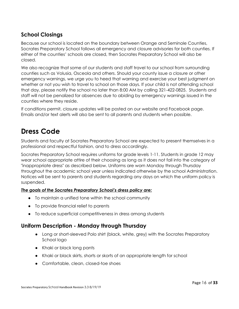## <span id="page-15-0"></span>**School Closings**

Because our school is located on the boundary between Orange and Seminole Counties, Socrates Preparatory School follows all emergency and closure advisories for both counties. If either of the counties' schools are closed, then Socrates Preparatory School will also be closed.

We also recognize that some of our students and staff travel to our school from surrounding counties such as Volusia, Osceola and others. Should your county issue a closure or other emergency warnings, we urge you to heed that warning and exercise your best judgment on whether or not you wish to travel to school on those days. If your child is not attending school that day, please notify the school no later than 8:00 AM by calling 321-422-0825. Students and staff will not be penalized for absences due to abiding by emergency warnings issued in the counties where they reside.

If conditions permit, closure updates will be posted on our website and Facebook page. Emails and/or text alerts will also be sent to all parents and students when possible.

## <span id="page-15-1"></span>**Dress Code**

Students and faculty at Socrates Preparatory School are expected to present themselves in a professional and respectful fashion, and to dress accordingly.

Socrates Preparatory School requires uniforms for grade levels 1-11. Students in grade 12 may wear school appropriate attire of their choosing as long as it does not fall into the category of "inappropriate dress" as described below. Uniforms are worn Monday through Thursday throughout the academic school year unless indicated otherwise by the school Administration. Notices will be sent to parents and students regarding any days on which the uniform policy is suspended.

#### *The goals of the Socrates Preparatory School's dress policy are:*

- To maintain a unified tone within the school community
- To provide financial relief to parents
- To reduce superficial competitiveness in dress among students

#### <span id="page-15-2"></span>**Uniform Description - Monday through Thursday**

- Long or short-sleeved Polo shirt (black, white, grey) with the Socrates Preparatory School logo
- Khaki or black long pants
- Khaki or black skirts, shorts or skorts of an appropriate length for school
- Comfortable, clean, closed-toe shoes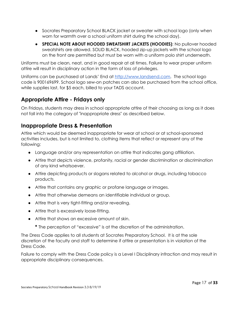- Socrates Preparatory School BLACK jacket or sweater with school logo (only when worn for warmth over a school uniform shirt during the school day).
- **SPECIAL NOTE ABOUT HOODED SWEATSHIRT JACKETS (HOODIES)**: No pullover hooded sweatshirts are allowed. SOLID BLACK, hooded zip-up jackets with the school logo on the front are permitted but must be worn with a uniform polo shirt underneath.

Uniforms must be clean, neat, and in good repair at all times. Failure to wear proper uniform attire will result in disciplinary action in the form of loss of privileges.

Uniforms can be purchased at Lands' End at [http://www.landsend.com](http://www.landsend.com/). The school logo code is 900169699. School logo sew-on patches can also be purchased from the school office, while supplies last, for \$5 each, billed to your TADS account.

## <span id="page-16-0"></span>**Appropriate Attire - Fridays only**

On Fridays, students may dress in school appropriate attire of their choosing as long as it does not fall into the category of "inappropriate dress" as described below.

## <span id="page-16-1"></span>**Inappropriate Dress & Presentation**

Attire which would be deemed inappropriate for wear at school or at school-sponsored activities includes, but is not limited to, clothing items that reflect or represent any of the following:

- Language and/or any representation on attire that indicates gang affiliation.
- Attire that depicts violence, profanity, racial or gender discrimination or discrimination of any kind whatsoever.
- Attire depicting products or slogans related to alcohol or drugs, including tobacco products.
- Attire that contains any graphic or profane language or images.
- Attire that otherwise demeans an identifiable individual or group.
- Attire that is very tight-fitting and/or revealing.
- Attire that is excessively loose-fitting.
- Attire that shows an excessive amount of skin.
	- **\*** The perception of "excessive" is at the discretion of the administration.

The Dress Code applies to all students at Socrates Preparatory School. It is at the sole discretion of the faculty and staff to determine if attire or presentation is in violation of the Dress Code.

Failure to comply with the Dress Code policy is a Level I Disciplinary infraction and may result in appropriate disciplinary consequences.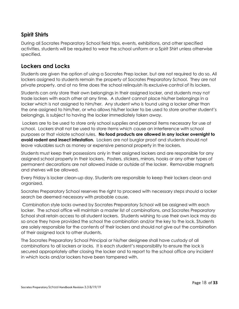## <span id="page-17-0"></span>**Spirit Shirts**

During all Socrates Preparatory School field trips, events, exhibitions, and other specified activities, students will be required to wear the school uniform or a Spirit Shirt unless otherwise specified.

## <span id="page-17-1"></span>**Lockers and Locks**

Students are given the option of using a Socrates Prep locker, but are not required to do so. All lockers assigned to students remain the property of Socrates Preparatory School. They are not private property, and at no time does the school relinquish its exclusive control of its lockers.

Students can only store their own belongings in their assigned locker, and students may not trade lockers with each other at any time. A student cannot place his/her belongings in a locker which is not assigned to him/her. Any student who is found using a locker other than the one assigned to him/her, or who allows his/her locker to be used to store another student's belongings, is subject to having the locker immediately taken away.

Lockers are to be used to store only school supplies and personal items necessary for use at school. Lockers shall not be used to store items which cause an interference with school purposes or that violate school rules. **No food products are allowed in any locker overnight to avoid rodent and insect infestation.** Lockers are not burglar proof and students should not leave valuables such as money or expensive personal property in the lockers.

Students must keep their possessions only in their assigned lockers and are responsible for any assigned school property in their lockers. Posters, stickers, mirrors, hooks or any other types of permanent decorations are not allowed inside or outside of the locker. Removable magnets and shelves will be allowed.

Every Friday is locker clean-up day. Students are responsible to keep their lockers clean and organized.

Socrates Preparatory School reserves the right to proceed with necessary steps should a locker search be deemed necessary with probable cause.

Combination style locks owned by Socrates Preparatory School will be assigned with each locker. The school office will maintain a master list of combinations, and Socrates Preparatory School shall retain access to all student lockers. Students wishing to use their own lock may do so once they have provided the school the combination and/or the key to the lock. Students are solely responsible for the contents of their lockers and should not give out the combination of their assigned lock to other students.

The Socrates Preparatory School Principal or his/her designee shall have custody of all combinations to all lockers or locks. It is each student's responsibility to ensure the lock is secured appropriately after closing the locker and to report to the school office any incident in which locks and/or lockers have been tampered with.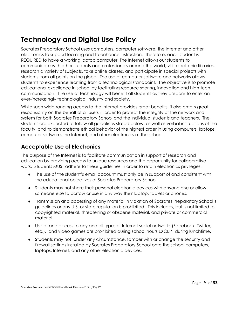## <span id="page-18-0"></span>**Technology and Digital Use Policy**

Socrates Preparatory School uses computers, computer software, the Internet and other electronics to support learning and to enhance instruction. Therefore, each student is REQUIRED to have a working laptop computer. The Internet allows our students to communicate with other students and professionals around the world, visit electronic libraries, research a variety of subjects, take online classes, and participate in special projects with students from all points on the globe. The use of computer software and networks allows students to experience learning from a technological standpoint. The objective is to promote educational excellence in school by facilitating resource sharing, innovation and high-tech communication. The use of technology will benefit all students as they prepare to enter an ever-increasingly technological industry and society.

While such wide-ranging access to the Internet provides great benefits, it also entails great responsibility on the behalf of all users in order to protect the integrity of the network and system for both Socrates Preparatory School and the individual students and teachers. The students are expected to follow all guidelines stated below, as well as verbal instructions of the faculty, and to demonstrate ethical behavior of the highest order in using computers, laptops, computer software, the Internet, and other electronics at the school.

## <span id="page-18-1"></span>**Acceptable Use of Electronics**

The purpose of the Internet is to facilitate communication in support of research and education by providing access to unique resources and the opportunity for collaborative work. Students MUST adhere to these guidelines in order to retain electronics privileges:

- The use of the student's email account must only be in support of and consistent with the educational objectives of Socrates Preparatory School.
- Students may not share their personal electronic devices with anyone else or allow someone else to borrow or use in any way their laptop, tablets or phones.
- Transmission and accessing of any material in violation of Socrates Preparatory School's guidelines or any U.S. or state regulation is prohibited. This includes, but is not limited to, copyrighted material, threatening or obscene material, and private or commercial material.
- Use of and access to any and all types of Internet social networks (Facebook, Twitter, etc.), and video games are prohibited during school hours EXCEPT during lunchtime.
- Students may not, under any circumstance, tamper with or change the security and firewall settings installed by Socrates Preparatory School onto the school computers, laptops, Internet, and any other electronic devices.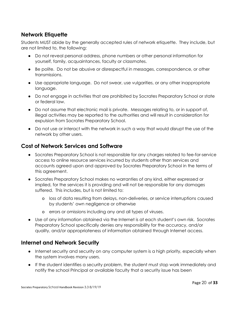## <span id="page-19-0"></span>**Network Etiquette**

Students MUST abide by the generally accepted rules of network etiquette. They include, but are not limited to, the following:

- Do not reveal personal address, phone numbers or other personal information for yourself, family, acquaintances, faculty or classmates.
- Be polite. Do not be abusive or disrespectful in messages, correspondence, or other transmissions.
- Use appropriate language. Do not swear, use vulgarities, or any other inappropriate language.
- Do not engage in activities that are prohibited by Socrates Preparatory School or state or federal law.
- Do not assume that electronic mail is private. Messages relating to, or in support of, illegal activities may be reported to the authorities and will result in consideration for expulsion from Socrates Preparatory School.
- Do not use or interact with the network in such a way that would disrupt the use of the network by other users.

## <span id="page-19-1"></span>**Cost of Network Services and Software**

- Socrates Preparatory School is not responsible for any charges related to fee-for-service access to online resource services incurred by students other than services and accounts agreed upon and approved by Socrates Preparatory School in the terms of this agreement.
- Socrates Preparatory School makes no warranties of any kind, either expressed or implied, for the services it is providing and will not be responsible for any damages suffered. This includes, but is not limited to:
	- o loss of data resulting from delays, non-deliveries, or service interruptions caused by students' own negligence or otherwise
	- o errors or omissions including any and all types of viruses.
- Use of any information obtained via the Internet is at each student's own risk. Socrates Preparatory School specifically denies any responsibility for the accuracy, and/or quality, and/or appropriateness of information obtained through Internet access.

## <span id="page-19-2"></span>**Internet and Network Security**

- Internet security and security on any computer system is a high priority, especially when the system involves many users.
- If the student identifies a security problem, the student must stop work immediately and notify the school Principal or available faculty that a security issue has been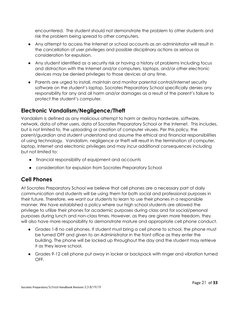encountered. The student should not demonstrate the problem to other students and risk the problem being spread to other computers.

- Any attempt to access the Internet or school accounts as an administrator will result in the cancellation of user privileges and possible disciplinary actions as serious as consideration for expulsion.
- Any student identified as a security risk or having a history of problems including focus and distraction with the Internet and/or computers, laptops, and/or other electronic devices may be denied privileges to those devices at any time.
- Parents are urged to install, maintain and monitor parental control/internet security software on the student's laptop. Socrates Preparatory School specifically denies any responsibility for any and all harm and/or damages as a result of the parent's failure to protect the student's computer.

## <span id="page-20-0"></span>**Electronic Vandalism/Negligence/Theft**

Vandalism is defined as any malicious attempt to harm or destroy hardware, software, network, data of other users, data of Socrates Preparatory School or the Internet. This includes, but is not limited to, the uploading or creation of computer viruses. Per this policy, the parent/guardian and student understand and assume the ethical and financial responsibilities of using technology. Vandalism, negligence or theft will result in the termination of computer, laptop, Internet and electronic privileges and may incur additional consequences including but not limited to:

- financial responsibility of equipment and accounts
- consideration for expulsion from Socrates Preparatory School

## <span id="page-20-1"></span>**Cell Phones**

At Socrates Preparatory School we believe that cell phones are a necessary part of daily communication and students will be using them for both social and professional purposes in their future. Therefore, we want our students to learn to use their phones in a responsible manner. We have established a policy where our high school students are allowed the privilege to utilize their phones for academic purposes during class and for social/personal purposes during lunch and non-class times. However, as they are given more freedom, they will also have more responsibility to demonstrate mature and appropriate cell phone conduct.

- Grades 1-8 no cell phones. If student must bring a cell phone to school, the phone must be turned OFF and given to an Administrator in the front office as they enter the building. The phone will be locked up throughout the day and the student may retrieve it as they leave school.
- Grades 9-12 cell phone put away in locker or backpack with ringer and vibration turned OFF.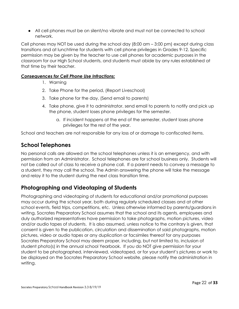● All cell phones must be on silent/no vibrate and must not be connected to school network.

Cell phones may NOT be used during the school day (8:00 am – 3:00 pm) except during class transitions and at lunchtime for students with cell phone privileges in Grades 9-12. Specific permission may be given by the teacher to use cell phones for academic purposes in the classroom for our High School students, and students must abide by any rules established at that time by their teacher.

#### <span id="page-21-0"></span>*Consequences for Cell Phone Use Infractions:*

- 1. Warning
- 2. Take Phone for the period, (Report Liveschool)
- 3. Take phone for the day, (Send email to parents)
- 4. Take phone, give it to administrator, send email to parents to notify and pick up the phone, student loses phone privileges for the semester.
	- a. If incident happens at the end of the semester, student loses phone privileges for the rest of the year.

School and teachers are not responsible for any loss of or damage to confiscated items.

## <span id="page-21-1"></span>**School Telephones**

No personal calls are allowed on the school telephones unless it is an emergency, and with permission from an Administrator. School telephones are for school business only. Students will not be called out of class to receive a phone call. If a parent needs to convey a message to a student, they may call the school. The Admin answering the phone will take the message and relay it to the student during the next class transition time.

## <span id="page-21-2"></span>**Photographing and Videotaping of Students**

Photographing and videotaping of students for educational and/or promotional purposes may occur during the school year, both during regularly scheduled classes and at other school events, field trips, competitions, etc. Unless otherwise informed by parents/guardians in writing, Socrates Preparatory School assumes that the school and its agents, employees and duly authorized representatives have permission to take photographs, motion pictures, video and/or audio tapes of students. It is also assumed, unless notice to the contrary is given, that consent is given to the publication, circulation and dissemination of said photographs, motion pictures, video or audio tapes or any duplication or facsimiles thereof for any purposes Socrates Preparatory School may deem proper, including, but not limited to, inclusion of student photo(s) in the annual school Yearbook. If you do NOT give permission for your student to be photographed, interviewed, videotaped, or for your student's pictures or work to be displayed on the Socrates Preparatory School website, please notify the administration in writing.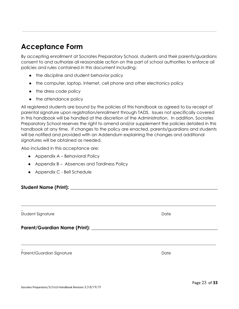## <span id="page-22-0"></span>**Acceptance Form**

By accepting enrollment at Socrates Preparatory School, students and their parents/guardians consent to and authorize all reasonable action on the part of school authorities to enforce all policies and rules contained in this document including:

- the discipline and student behavior policy
- the computer, laptop, Internet, cell phone and other electronics policy
- the dress code policy
- the attendance policy

All registered students are bound by the policies of this handbook as agreed to by receipt of parental signature upon registration/enrollment through TADS. Issues not specifically covered in this handbook will be handled at the discretion of the Administration. In addition, Socrates Preparatory School reserves the right to amend and/or supplement the policies detailed in this handbook at any time. If changes to the policy are enacted, parents/guardians and students will be notified and provided with an Addendum explaining the changes and additional signatures will be obtained as needed.

\_\_\_\_\_\_\_\_\_\_\_\_\_\_\_\_\_\_\_\_\_\_\_\_\_\_\_\_\_\_\_\_\_\_\_\_\_\_\_\_\_\_\_\_\_\_\_\_\_\_\_\_\_\_\_\_\_\_\_\_\_\_\_\_\_\_\_\_\_\_\_\_\_\_\_\_\_\_\_\_\_\_\_\_\_\_\_\_\_\_\_\_\_\_\_\_\_\_\_\_

\_\_\_\_\_\_\_\_\_\_\_\_\_\_\_\_\_\_\_\_\_\_\_\_\_\_\_\_\_\_\_\_\_\_\_\_\_\_\_\_\_\_\_\_\_\_\_\_\_\_\_\_\_\_\_\_\_\_\_\_\_\_\_\_\_\_\_\_\_\_\_\_\_\_\_\_\_\_\_\_\_\_\_\_\_\_\_\_\_\_\_\_\_\_\_\_\_\_\_\_

Also included in this acceptance are:

- Appendix A Behavioral Policy
- Appendix B Absences and Tardiness Policy
- Appendix C Bell Schedule

**Student Name (Print): \_\_\_\_\_\_\_\_\_\_\_\_\_\_\_\_\_\_\_\_\_\_\_\_\_\_\_\_\_\_\_\_\_\_\_\_\_\_\_\_\_\_\_\_\_\_\_\_\_\_\_\_\_\_\_\_\_\_\_\_\_\_\_**

\_ Student Signature Date

\_

**Parent/Guardian Name (Print): \_\_\_\_\_\_\_\_\_\_\_\_\_\_\_\_\_\_\_\_\_\_\_\_\_\_\_\_\_\_\_\_\_\_\_\_\_\_\_\_\_\_\_\_\_\_\_\_\_\_\_\_\_\_**

Parent/Guardian Signature **Date** Date Date **Date**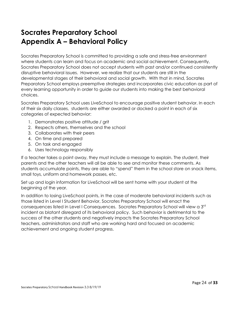## <span id="page-23-0"></span>**Socrates Preparatory School Appendix A – Behavioral Policy**

Socrates Preparatory School is committed to providing a safe and stress-free environment where students can learn and focus on academic and social achievement. Consequently, Socrates Preparatory School does not accept students with past and/or continued consistently disruptive behavioral issues. However, we realize that our students are still in the developmental stages of their behavioral and social growth. With that in mind, Socrates Preparatory School employs preemptive strategies and incorporates civic education as part of every learning opportunity in order to guide our students into making the best behavioral choices.

Socrates Preparatory School uses LiveSchool to encourage positive student behavior. In each of their six daily classes, students are either awarded or docked a point in each of six categories of expected behavior:

- 1. Demonstrates positive attitude / grit
- 2. Respects others, themselves and the school
- 3. Collaborates with their peers
- 4. On time and prepared
- 5. On task and engaged
- 6. Uses technology responsibly

If a teacher takes a point away, they must include a message to explain. The student, their parents and the other teachers will all be able to see and monitor these comments. As students accumulate points, they are able to "spend" them in the school store on snack items, small toys, uniform and homework passes, etc.

Set up and login information for LiveSchool will be sent home with your student at the beginning of the year.

In addition to losing LiveSchool points, in the case of moderate behavioral incidents such as those listed in Level I Student Behavior, Socrates Preparatory School will enact the consequences listed in Level I Consequences. Socrates Preparatory School will view a 3rd incident as blatant disregard of its behavioral policy. Such behavior is detrimental to the success of the other students and negatively impacts the Socrates Preparatory School teachers, administrators and staff who are working hard and focused on academic achievement and ongoing student progress.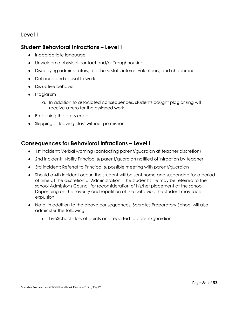#### <span id="page-24-0"></span>**Level I**

#### <span id="page-24-1"></span>**Student Behavioral Infractions – Level I**

- Inappropriate language
- Unwelcome physical contact and/or "roughhousing"
- Disobeying administrators, teachers, staff, interns, volunteers, and chaperones
- Defiance and refusal to work
- Disruptive behavior
- Plagiarism
	- a. In addition to associated consequences, students caught plagiarizing will receive a zero for the assigned work.
- Breaching the dress code
- Skipping or leaving class without permission

#### <span id="page-24-2"></span>**Consequences for Behavioral Infractions – Level I**

- 1st incident: Verbal warning (contacting parent/guardian at teacher discretion)
- 2nd incident: Notify Principal & parent/guardian notified of infraction by teacher
- 3rd incident: Referral to Principal & possible meeting with parent/guardian
- Should a 4th incident occur, the student will be sent home and suspended for a period of time at the discretion of Administration. The student's file may be referred to the school Admissions Council for reconsideration of his/her placement at the school. Depending on the severity and repetition of the behavior, the student may face expulsion.
- Note: in addition to the above consequences, Socrates Preparatory School will also administer the following:
	- o LiveSchool loss of points and reported to parent/guardian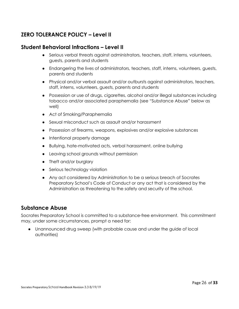## <span id="page-25-0"></span>**ZERO TOLERANCE POLICY – Level II**

#### <span id="page-25-1"></span>**Student Behavioral Infractions – Level II**

- Serious verbal threats against administrators, teachers, staff, interns, volunteers, guests, parents and students
- Endangering the lives of administrators, teachers, staff, interns, volunteers, guests, parents and students
- Physical and/or verbal assault and/or outbursts against administrators, teachers, staff, interns, volunteers, guests, parents and students
- Possession or use of drugs, cigarettes, alcohol and/or illegal substances including tobacco and/or associated paraphernalia (see "Substance Abuse" below as well)
- Act of Smoking/Paraphernalia
- Sexual misconduct such as assault and/or harassment
- Possession of firearms, weapons, explosives and/or explosive substances
- Intentional property damage
- Bullying, hate-motivated acts, verbal harassment, online bullying
- Leaving school grounds without permission
- Theft and/or burglary
- Serious technology violation
- Any act considered by Administration to be a serious breach of Socrates Preparatory School's Code of Conduct or any act that is considered by the Administration as threatening to the safety and security of the school.

#### <span id="page-25-2"></span>**Substance Abuse**

Socrates Preparatory School is committed to a substance-free environment. This commitment may, under some circumstances, prompt a need for:

● Unannounced drug sweep (with probable cause and under the guide of local authorities)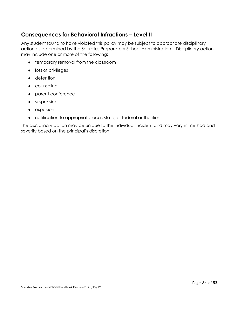## <span id="page-26-0"></span>**Consequences for Behavioral Infractions – Level II**

Any student found to have violated this policy may be subject to appropriate disciplinary action as determined by the Socrates Preparatory School Administration. Disciplinary action may include one or more of the following:

- temporary removal from the classroom
- loss of privileges
- detention
- counseling
- parent conference
- suspension
- expulsion
- notification to appropriate local, state, or federal authorities.

<span id="page-26-1"></span>The disciplinary action may be unique to the individual incident and may vary in method and severity based on the principal's discretion.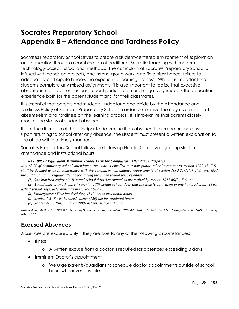## <span id="page-27-0"></span>**Socrates Preparatory School Appendix B – Attendance and Tardiness Policy**

Socrates Preparatory School strives to create a student-centered environment of exploration and education through a combination of traditional Socratic teaching with modern technology-based instructional methods. The curriculum at Socrates Preparatory School is infused with hands-on projects, discussions, group work, and field trips; hence, failure to adequately participate hinders the experiential learning process. While it is important that students complete any missed assignments, it is also important to realize that excessive absenteeism or tardiness lessens student participation and negatively impacts the educational experience both for the absent student and for their classmates.

It is essential that parents and students understand and abide by the Attendance and Tardiness Policy of Socrates Preparatory School in order to minimize the negative impact of absenteeism and tardiness on the learning process. It is imperative that parents closely monitor the status of student absences.

It is at the discretion of the principal to determine if an absence is excused or unexcused. Upon returning to school after any absence, the student must present a written explanation to the office within a timely manner.

Socrates Preparatory School follows the following Florida State law regarding student attendance and instructional hours.

#### *6A-1.09512 Equivalent Minimum School Term for Compulsory Attendance Purposes.*

Any child of compulsory school attendance age, who is enrolled in a non-public school pursuant to section 1002.42, F.S., shall be deemed to be in compliance with the compulsory attendance requirements of section  $1003.21(1)(a)$ , F.S., provided *the child maintains regular attendance during the entire school term of either:*

*(1) One hundred eighty (180) actual school days determined as prescribed by section 1011.60(2), F.S., or*

(2) A minimum of one hundred seventy (170) actual school days and the hourly equivalent of one hundred eighty (180) *actual school days, determined as prescribed below:*

- *(a) Kindergarten: Five hundred forty (540) net instructional hours.*
- *(b) Grades 1-3: Seven hundred twenty (720) net instructional hours.*
- *(c) Grades 4-12: Nine hundred (900) net instructional hours.*

*Rulemaking Authority 1001.02, 1011.60(2) FS. Law Implemented 1002.42, 1003.21, 1011.60 FS. History–New 4-21-80, Formerly 6A-1.9512.*

## <span id="page-27-1"></span>**Excused Absences**

Absences are excused only if they are due to any of the following circumstances:

- Illness
	- o A written excuse from a doctor is required for absences exceeding 3 days
- Imminent Doctor's appointment
	- o We urge parents/guardians to schedule doctor appointments outside of school hours whenever possible.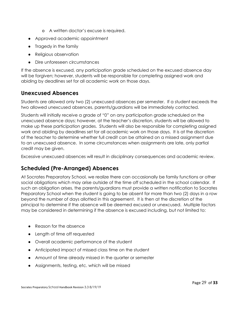- o A written doctor's excuse is required.
- Approved academic appointment
- Tragedy in the family
- Religious observation
- Dire unforeseen circumstances

If the absence is excused, any participation grade scheduled on the excused absence day will be forgiven; however, students will be responsible for completing assigned work and abiding by deadlines set for all academic work on those days.

## <span id="page-28-0"></span>**Unexcused Absences**

Students are allowed only two (2) unexcused absences per semester. If a student exceeds the two allowed unexcused absences, parents/guardians will be immediately contacted.

Students will initially receive a grade of "0" on any participation grade scheduled on the unexcused absence days; however, at the teacher's discretion, students will be allowed to make up these participation grades. Students will also be responsible for completing assigned work and abiding by deadlines set for all academic work on those days. It is at the discretion of the teacher to determine whether full credit can be attained on a missed assignment due to an unexcused absence. In some circumstances when assignments are late, only partial credit may be given.

Excessive unexcused absences will result in disciplinary consequences and academic review.

## <span id="page-28-1"></span>**Scheduled (Pre-Arranged) Absences**

At Socrates Preparatory School, we realize there can occasionally be family functions or other social obligations which may arise outside of the time off scheduled in the school calendar. If such an obligation arises, the parents/guardians must provide a written notification to Socrates Preparatory School when the student is going to be absent for more than two (2) days in a row beyond the number of days allotted in this agreement. It is then at the discretion of the principal to determine if the absence will be deemed excused or unexcused. Multiple factors may be considered in determining if the absence is excused including, but not limited to:

- Reason for the absence
- Length of time off requested
- Overall academic performance of the student
- Anticipated impact of missed class time on the student
- Amount of time already missed in the quarter or semester
- Assignments, testing, etc. which will be missed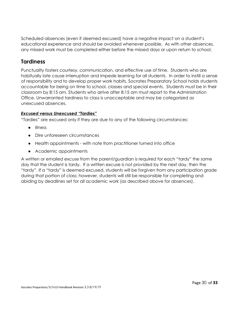Scheduled absences (even if deemed excused) have a negative impact on a student's educational experience and should be avoided whenever possible. As with other absences, any missed work must be completed either before the missed days or upon return to school.

## <span id="page-29-0"></span>**Tardiness**

Punctuality fosters courtesy, communication, and effective use of time. Students who are habitually late cause interruption and impede learning for all students. In order to instill a sense of responsibility and to develop proper work habits, Socrates Preparatory School holds students accountable for being on time to school, classes and special events. Students must be in their classroom by 8:15 am. Students who arrive after 8:15 am must report to the Administration Office. Unwarranted tardiness to class is unacceptable and may be categorized as unexcused absences.

#### <span id="page-29-1"></span>*Excused versus Unexcused "Tardies"*

"Tardies" are excused only if they are due to any of the following circumstances:

- Illness
- Dire unforeseen circumstances
- Health appointments with note from practitioner turned into office
- Academic appointments

<span id="page-29-2"></span>A written or emailed excuse from the parent/guardian is required for each "tardy" the same day that the student is tardy. If a written excuse is not provided by the next day, then the "tardy". If a "tardy" is deemed excused, students will be forgiven from any participation grade during that portion of class; however, students will still be responsible for completing and abiding by deadlines set for all academic work (as described above for absences).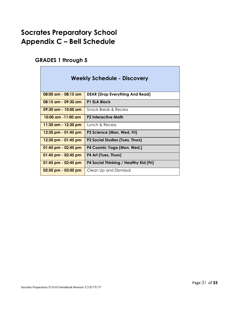## <span id="page-30-0"></span>**Socrates Preparatory School Appendix C – Bell Schedule**

## <span id="page-30-1"></span>**GRADES 1 through 5**

| <b>Weekly Schedule - Discovery</b> |                                        |
|------------------------------------|----------------------------------------|
| 08:00 am - 08:15 am                | <b>DEAR (Drop Everything And Read)</b> |
| 08:15 am - 09:30 am                | <b>P1 ELA Block</b>                    |
| 09:30 am - 10:00 am                | Snack Break & Recess                   |
| $10:00$ am $-11:00$ am             | <b>P2 Interactive Math</b>             |
| 11:30 am - 12:30 pm                | Lunch & Recess                         |
| 12:30 pm - 01:45 pm                | P3 Science (Mon, Wed, Fri)             |
| $12:30$ pm - 01:45 pm              | P3 Social Studies (Tues, Thurs)        |
| $01:45$ pm - 02:45 pm              | P4 Cosmic Yoga (Mon, Wed,)             |
| $01:45$ pm - 02:45 pm              | P4 Art (Tues, Thurs)                   |
| 01:45 pm - 02:45 pm                | P4 Social Thinking / Healthy Kid (Fri) |
| $02:50$ pm - $03:00$ pm            | Clean Up and Dismissal                 |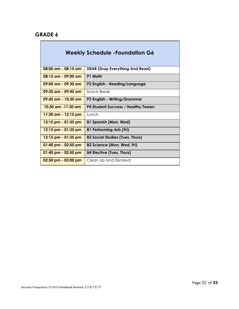#### <span id="page-31-0"></span>**GRADE 6**

 $\overline{\phantom{a}}$ 

| <b>Weekly Schedule -Foundation G6</b> |                                           |
|---------------------------------------|-------------------------------------------|
| $08:00$ am - $08:15$ am               | <b>DEAR (Drop Everything And Read)</b>    |
| $08:15$ am - $09:00$ am               | P1 Math                                   |
| $09:00$ am - $09:30$ am               | P2 English - Reading/Language             |
| $09:30$ am - $09:45$ am               | Snack Break                               |
| $09:45$ am - $10:30$ am               | P3 English - Writing/Grammar              |
| <u>10:30 am -11:30 am </u>            | <b>P4 Student Success / Healthy Tween</b> |
| 11:30 am - 12:15 pm                   | <b>Lunch</b>                              |
| $12:15$ pm - 01:35 pm                 | <b>B1 Spanish (Mon, Wed)</b>              |
| $12:15$ pm - 01:35 pm                 | <b>B1 Performing Arts (Fri)</b>           |
| $12:15$ pm - 01:35 pm                 | <b>B3 Social Studies (Tues, Thurs)</b>    |
| $01:40$ pm - 02:50 pm                 | B2 Science (Mon, Wed, Fri)                |
| $01:40$ pm - 02:50 pm                 | <b>B4 Elective (Tues, Thurs)</b>          |
| $02:50$ pm - $03:00$ pm               | Clean Up and Dismissal                    |

T